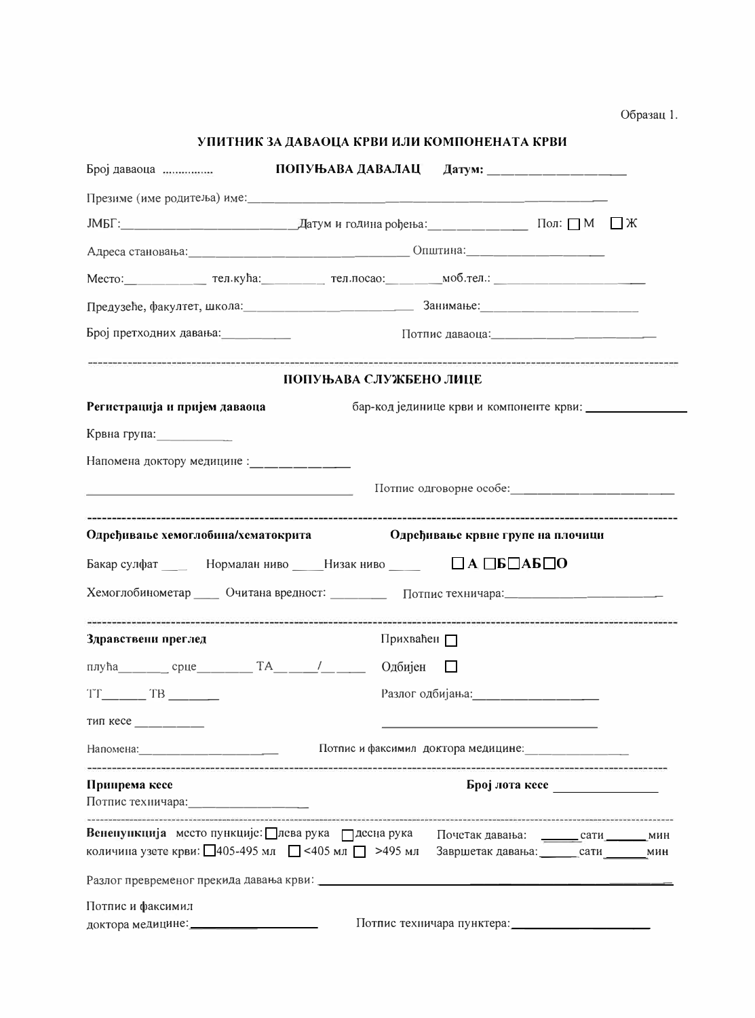| Образац 1. |  |
|------------|--|
|------------|--|

| УПИТНИК ЗА ДАВАОЦА КРВИ ИЛИ КОМПОНЕНАТА КРВИ |  |  |
|----------------------------------------------|--|--|
|                                              |  |  |

| Број даваоца $\ldots$                                                                                                |                                                                                                               |
|----------------------------------------------------------------------------------------------------------------------|---------------------------------------------------------------------------------------------------------------|
|                                                                                                                      |                                                                                                               |
|                                                                                                                      |                                                                                                               |
|                                                                                                                      |                                                                                                               |
|                                                                                                                      | Место: при тел.кућа: тел.кућа: тел.посао: моб.тел.: при тел.                                                  |
|                                                                                                                      |                                                                                                               |
| Број претходних давања: продажно претходних давања:                                                                  |                                                                                                               |
|                                                                                                                      | ПОПУЊАВА СЛУЖБЕНО ЛИЦЕ                                                                                        |
| Регистрација и пријем даваоца                                                                                        |                                                                                                               |
| Крвна група: Петрописание                                                                                            |                                                                                                               |
|                                                                                                                      |                                                                                                               |
| the control of the control of the control of the control of the control of                                           |                                                                                                               |
|                                                                                                                      | Одређивање хемоглобина/хематокрита славно одређивање крвне групе на плочици                                   |
|                                                                                                                      | Бакар сулфат _____ Нормалан ниво _____ Низак ниво _____ ПА ПБПАБПО                                            |
|                                                                                                                      | Хемоглобинометар ____ Очитана вредност: ________ Потпис техничара: ________________________________           |
| Здравствени преглед                                                                                                  | Прихваћен П                                                                                                   |
|                                                                                                                      | плућа срце ТА / Одбијен                                                                                       |
| $TT$ $TB$ $-- TB$ $---$                                                                                              | Разлог одбијања: Предпомениот предп                                                                           |
| тип кесе                                                                                                             |                                                                                                               |
|                                                                                                                      | Напомена: по последните и от потпис и факсимил доктора медицине: по последните и последните и по последните и |
| Припрема кесе<br>Потпис техничара: последните по при податно по при податки по податки по податки по податки по по   | $\frac{1}{2}$ Број лота кесе                                                                                  |
| Вененункција место пункције: Плева рука Плесна рука<br>количина узете крви: 405-495 мл $\Box$ <405 мл $\Box$ >495 мл | Почетак давања: ________сати _______мин<br>Завршетак давања: сати Мин                                         |
|                                                                                                                      |                                                                                                               |
| Потпис и факсимил                                                                                                    | Потпис техничара пунктера: Потпис техничара пунктера:                                                         |